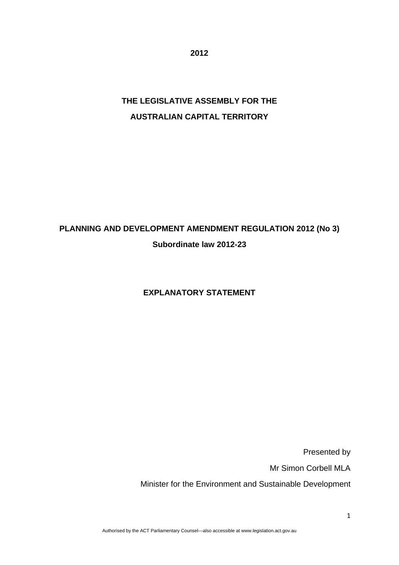**2012** 

# **THE LEGISLATIVE ASSEMBLY FOR THE AUSTRALIAN CAPITAL TERRITORY**

## **PLANNING AND DEVELOPMENT AMENDMENT REGULATION 2012 (No 3) Subordinate law 2012-23**

## **EXPLANATORY STATEMENT**

Presented by Mr Simon Corbell MLA Minister for the Environment and Sustainable Development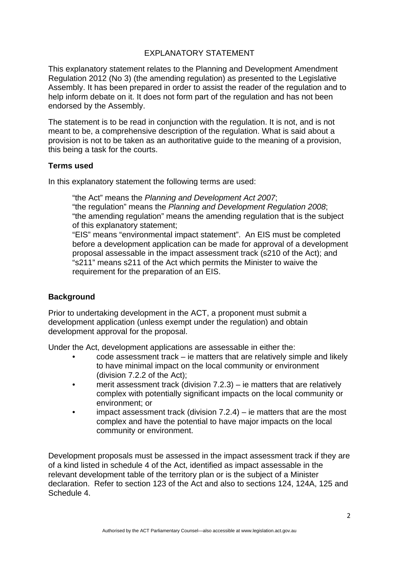### EXPLANATORY STATEMENT

This explanatory statement relates to the Planning and Development Amendment Regulation 2012 (No 3) (the amending regulation) as presented to the Legislative Assembly. It has been prepared in order to assist the reader of the regulation and to help inform debate on it. It does not form part of the regulation and has not been endorsed by the Assembly.

The statement is to be read in conjunction with the regulation. It is not, and is not meant to be, a comprehensive description of the regulation. What is said about a provision is not to be taken as an authoritative guide to the meaning of a provision, this being a task for the courts.

#### **Terms used**

In this explanatory statement the following terms are used:

"the Act" means the *Planning and Development Act 2007*; "the regulation" means the *Planning and Development Regulation 2008*; "the amending regulation" means the amending regulation that is the subject of this explanatory statement;

"EIS" means "environmental impact statement". An EIS must be completed before a development application can be made for approval of a development proposal assessable in the impact assessment track (s210 of the Act); and "s211" means s211 of the Act which permits the Minister to waive the requirement for the preparation of an EIS.

#### **Background**

Prior to undertaking development in the ACT, a proponent must submit a development application (unless exempt under the regulation) and obtain development approval for the proposal.

Under the Act, development applications are assessable in either the:

- code assessment track ie matters that are relatively simple and likely to have minimal impact on the local community or environment (division 7.2.2 of the Act);
- merit assessment track (division  $7.2.3$ ) ie matters that are relatively complex with potentially significant impacts on the local community or environment; or
- impact assessment track (division  $7.2.4$ ) ie matters that are the most complex and have the potential to have major impacts on the local community or environment.

Development proposals must be assessed in the impact assessment track if they are of a kind listed in schedule 4 of the Act, identified as impact assessable in the relevant development table of the territory plan or is the subject of a Minister declaration. Refer to section 123 of the Act and also to sections 124, 124A, 125 and Schedule 4.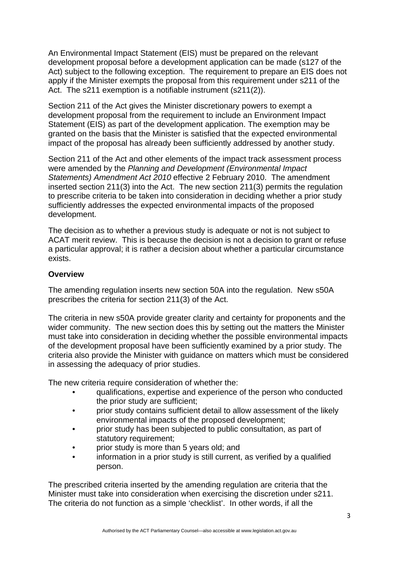An Environmental Impact Statement (EIS) must be prepared on the relevant development proposal before a development application can be made (s127 of the Act) subject to the following exception. The requirement to prepare an EIS does not apply if the Minister exempts the proposal from this requirement under s211 of the Act. The s211 exemption is a notifiable instrument (s211(2)).

Section 211 of the Act gives the Minister discretionary powers to exempt a development proposal from the requirement to include an Environment Impact Statement (EIS) as part of the development application. The exemption may be granted on the basis that the Minister is satisfied that the expected environmental impact of the proposal has already been sufficiently addressed by another study.

Section 211 of the Act and other elements of the impact track assessment process were amended by the *Planning and Development (Environmental Impact Statements) Amendment Act 2010* effective 2 February 2010. The amendment inserted section 211(3) into the Act. The new section 211(3) permits the regulation to prescribe criteria to be taken into consideration in deciding whether a prior study sufficiently addresses the expected environmental impacts of the proposed development.

The decision as to whether a previous study is adequate or not is not subject to ACAT merit review. This is because the decision is not a decision to grant or refuse a particular approval; it is rather a decision about whether a particular circumstance exists.

#### **Overview**

The amending regulation inserts new section 50A into the regulation. New s50A prescribes the criteria for section 211(3) of the Act.

The criteria in new s50A provide greater clarity and certainty for proponents and the wider community. The new section does this by setting out the matters the Minister must take into consideration in deciding whether the possible environmental impacts of the development proposal have been sufficiently examined by a prior study. The criteria also provide the Minister with guidance on matters which must be considered in assessing the adequacy of prior studies.

The new criteria require consideration of whether the:

- qualifications, expertise and experience of the person who conducted the prior study are sufficient;
- prior study contains sufficient detail to allow assessment of the likely environmental impacts of the proposed development;
- prior study has been subjected to public consultation, as part of statutory requirement;
- prior study is more than 5 years old; and
- information in a prior study is still current, as verified by a qualified person.

The prescribed criteria inserted by the amending regulation are criteria that the Minister must take into consideration when exercising the discretion under s211. The criteria do not function as a simple 'checklist'. In other words, if all the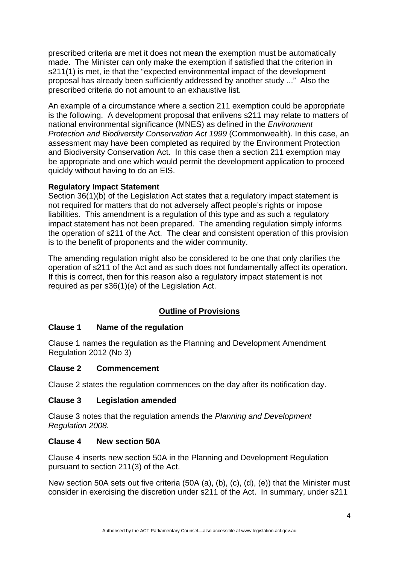prescribed criteria are met it does not mean the exemption must be automatically made. The Minister can only make the exemption if satisfied that the criterion in s211(1) is met, ie that the "expected environmental impact of the development proposal has already been sufficiently addressed by another study ..." Also the prescribed criteria do not amount to an exhaustive list.

An example of a circumstance where a section 211 exemption could be appropriate is the following. A development proposal that enlivens s211 may relate to matters of national environmental significance (MNES) as defined in the *Environment Protection and Biodiversity Conservation Act 1999* (Commonwealth). In this case, an assessment may have been completed as required by the Environment Protection and Biodiversity Conservation Act. In this case then a section 211 exemption may be appropriate and one which would permit the development application to proceed quickly without having to do an EIS.

#### **Regulatory Impact Statement**

Section 36(1)(b) of the Legislation Act states that a regulatory impact statement is not required for matters that do not adversely affect people's rights or impose liabilities. This amendment is a regulation of this type and as such a regulatory impact statement has not been prepared. The amending regulation simply informs the operation of s211 of the Act. The clear and consistent operation of this provision is to the benefit of proponents and the wider community.

The amending regulation might also be considered to be one that only clarifies the operation of s211 of the Act and as such does not fundamentally affect its operation. If this is correct, then for this reason also a regulatory impact statement is not required as per s36(1)(e) of the Legislation Act.

## **Outline of Provisions**

## **Clause 1 Name of the regulation**

Clause 1 names the regulation as the Planning and Development Amendment Regulation 2012 (No 3)

#### **Clause 2 Commencement**

Clause 2 states the regulation commences on the day after its notification day.

#### **Clause 3 Legislation amended**

Clause 3 notes that the regulation amends the *Planning and Development Regulation 2008.* 

#### **Clause 4 New section 50A**

Clause 4 inserts new section 50A in the Planning and Development Regulation pursuant to section 211(3) of the Act.

New section 50A sets out five criteria (50A (a), (b), (c), (d), (e)) that the Minister must consider in exercising the discretion under s211 of the Act. In summary, under s211